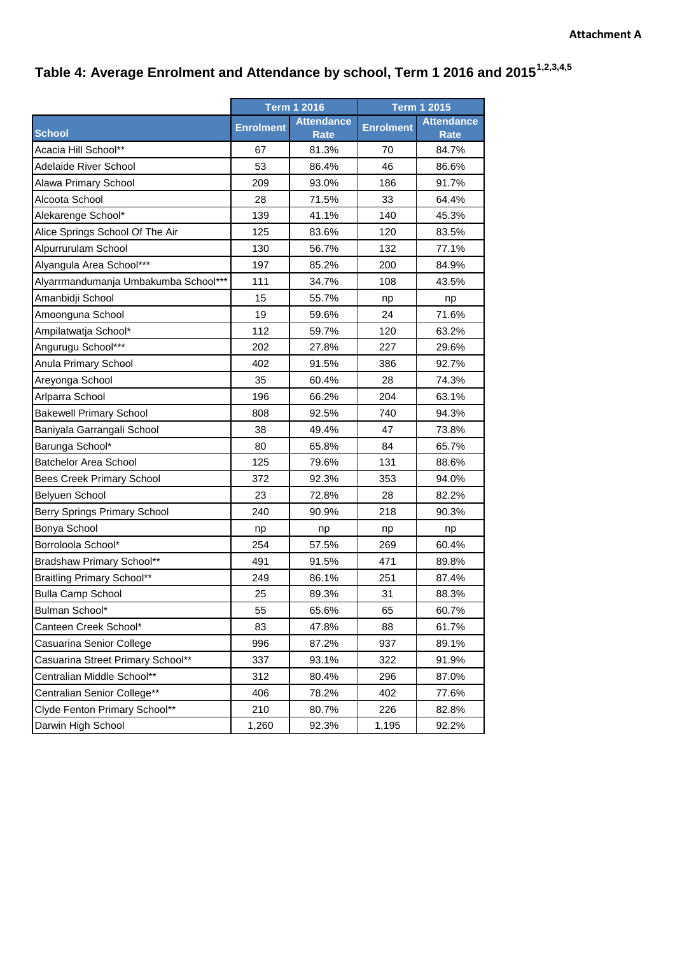## **Table 4: Average Enrolment and Attendance by school, Term 1 2016 and 20151,2,3,4,5**

|                                      | <b>Term 1 2016</b> |                   | <b>Term 1 2015</b> |                   |
|--------------------------------------|--------------------|-------------------|--------------------|-------------------|
|                                      | <b>Enrolment</b>   | <b>Attendance</b> | <b>Enrolment</b>   | <b>Attendance</b> |
| <b>School</b>                        |                    | <b>Rate</b>       |                    | <b>Rate</b>       |
| Acacia Hill School**                 | 67                 | 81.3%             | 70                 | 84.7%             |
| <b>Adelaide River School</b>         | 53                 | 86.4%             | 46                 | 86.6%             |
| Alawa Primary School                 | 209                | 93.0%             | 186                | 91.7%             |
| Alcoota School                       | 28                 | 71.5%             | 33                 | 64.4%             |
| Alekarenge School*                   | 139                | 41.1%             | 140                | 45.3%             |
| Alice Springs School Of The Air      | 125                | 83.6%             | 120                | 83.5%             |
| Alpurrurulam School                  | 130                | 56.7%             | 132                | 77.1%             |
| Alyangula Area School***             | 197                | 85.2%             | 200                | 84.9%             |
| Alyarrmandumanja Umbakumba School*** | 111                | 34.7%             | 108                | 43.5%             |
| Amanbidji School                     | 15                 | 55.7%             | np                 | np                |
| Amoonguna School                     | 19                 | 59.6%             | 24                 | 71.6%             |
| Ampilatwatja School*                 | 112                | 59.7%             | 120                | 63.2%             |
| Angurugu School***                   | 202                | 27.8%             | 227                | 29.6%             |
| Anula Primary School                 | 402                | 91.5%             | 386                | 92.7%             |
| Areyonga School                      | 35                 | 60.4%             | 28                 | 74.3%             |
| Arlparra School                      | 196                | 66.2%             | 204                | 63.1%             |
| <b>Bakewell Primary School</b>       | 808                | 92.5%             | 740                | 94.3%             |
| Baniyala Garrangali School           | 38                 | 49.4%             | 47                 | 73.8%             |
| Barunga School*                      | 80                 | 65.8%             | 84                 | 65.7%             |
| <b>Batchelor Area School</b>         | 125                | 79.6%             | 131                | 88.6%             |
| <b>Bees Creek Primary School</b>     | 372                | 92.3%             | 353                | 94.0%             |
| Belyuen School                       | 23                 | 72.8%             | 28                 | 82.2%             |
| <b>Berry Springs Primary School</b>  | 240                | 90.9%             | 218                | 90.3%             |
| Bonya School                         | np                 | np                | np                 | np                |
| Borroloola School*                   | 254                | 57.5%             | 269                | 60.4%             |
| Bradshaw Primary School**            | 491                | 91.5%             | 471                | 89.8%             |
| <b>Braitling Primary School**</b>    | 249                | 86.1%             | 251                | 87.4%             |
| <b>Bulla Camp School</b>             | 25                 | 89.3%             | 31                 | 88.3%             |
| Bulman School*                       | 55                 | 65.6%             | 65                 | 60.7%             |
| Canteen Creek School*                | 83                 | 47.8%             | 88                 | 61.7%             |
| Casuarina Senior College             | 996                | 87.2%             | 937                | 89.1%             |
| Casuarina Street Primary School**    | 337                | 93.1%             | 322                | 91.9%             |
| Centralian Middle School**           | 312                | 80.4%             | 296                | 87.0%             |
| Centralian Senior College**          | 406                | 78.2%             | 402                | 77.6%             |
| Clyde Fenton Primary School**        | 210                | 80.7%             | 226                | 82.8%             |
| Darwin High School                   | 1,260              | 92.3%             | 1,195              | 92.2%             |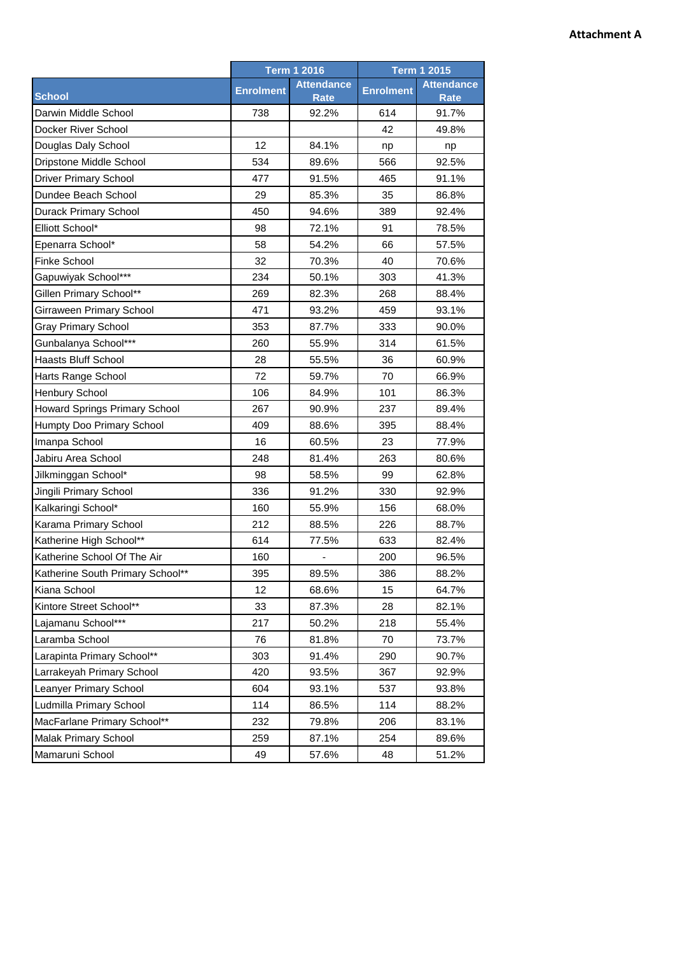|                                  | <b>Term 1 2016</b> |                                  | <b>Term 1 2015</b> |                                  |
|----------------------------------|--------------------|----------------------------------|--------------------|----------------------------------|
| <b>School</b>                    | <b>Enrolment</b>   | <b>Attendance</b><br><b>Rate</b> | <b>Enrolment</b>   | <b>Attendance</b><br><b>Rate</b> |
| Darwin Middle School             | 738                | 92.2%                            | 614                | 91.7%                            |
| Docker River School              |                    |                                  | 42                 | 49.8%                            |
| Douglas Daly School              | 12                 | 84.1%                            | np                 | np                               |
| Dripstone Middle School          | 534                | 89.6%                            | 566                | 92.5%                            |
| <b>Driver Primary School</b>     | 477                | 91.5%                            | 465                | 91.1%                            |
| Dundee Beach School              | 29                 | 85.3%                            | 35                 | 86.8%                            |
| Durack Primary School            | 450                | 94.6%                            | 389                | 92.4%                            |
| Elliott School*                  | 98                 | 72.1%                            | 91                 | 78.5%                            |
| Epenarra School*                 | 58                 | 54.2%                            | 66                 | 57.5%                            |
| Finke School                     | 32                 | 70.3%                            | 40                 | 70.6%                            |
| Gapuwiyak School***              | 234                | 50.1%                            | 303                | 41.3%                            |
| Gillen Primary School**          | 269                | 82.3%                            | 268                | 88.4%                            |
| Girraween Primary School         | 471                | 93.2%                            | 459                | 93.1%                            |
| <b>Gray Primary School</b>       | 353                | 87.7%                            | 333                | 90.0%                            |
| Gunbalanya School***             | 260                | 55.9%                            | 314                | 61.5%                            |
| <b>Haasts Bluff School</b>       | 28                 | 55.5%                            | 36                 | 60.9%                            |
| Harts Range School               | 72                 | 59.7%                            | 70                 | 66.9%                            |
| Henbury School                   | 106                | 84.9%                            | 101                | 86.3%                            |
| Howard Springs Primary School    | 267                | 90.9%                            | 237                | 89.4%                            |
| Humpty Doo Primary School        | 409                | 88.6%                            | 395                | 88.4%                            |
| Imanpa School                    | 16                 | 60.5%                            | 23                 | 77.9%                            |
| Jabiru Area School               | 248                | 81.4%                            | 263                | 80.6%                            |
| Jilkminggan School*              | 98                 | 58.5%                            | 99                 | 62.8%                            |
| Jingili Primary School           | 336                | 91.2%                            | 330                | 92.9%                            |
| Kalkaringi School*               | 160                | 55.9%                            | 156                | 68.0%                            |
| Karama Primary School            | 212                | 88.5%                            | 226                | 88.7%                            |
| Katherine High School**          | 614                | 77.5%                            | 633                | 82.4%                            |
| Katherine School Of The Air      | 160                |                                  | 200                | 96.5%                            |
| Katherine South Primary School** | 395                | 89.5%                            | 386                | 88.2%                            |
| Kiana School                     | 12                 | 68.6%                            | 15                 | 64.7%                            |
| Kintore Street School**          | 33                 | 87.3%                            | 28                 | 82.1%                            |
| Lajamanu School***               | 217                | 50.2%                            | 218                | 55.4%                            |
| Laramba School                   | 76                 | 81.8%                            | 70                 | 73.7%                            |
| Larapinta Primary School**       | 303                | 91.4%                            | 290                | 90.7%                            |
| Larrakeyah Primary School        | 420                | 93.5%                            | 367                | 92.9%                            |
| Leanyer Primary School           | 604                | 93.1%                            | 537                | 93.8%                            |
| Ludmilla Primary School          | 114                | 86.5%                            | 114                | 88.2%                            |
| MacFarlane Primary School**      | 232                | 79.8%                            | 206                | 83.1%                            |
| Malak Primary School             | 259                | 87.1%                            | 254                | 89.6%                            |
| Mamaruni School                  | 49                 | 57.6%                            | 48                 | 51.2%                            |

## **Attachment A**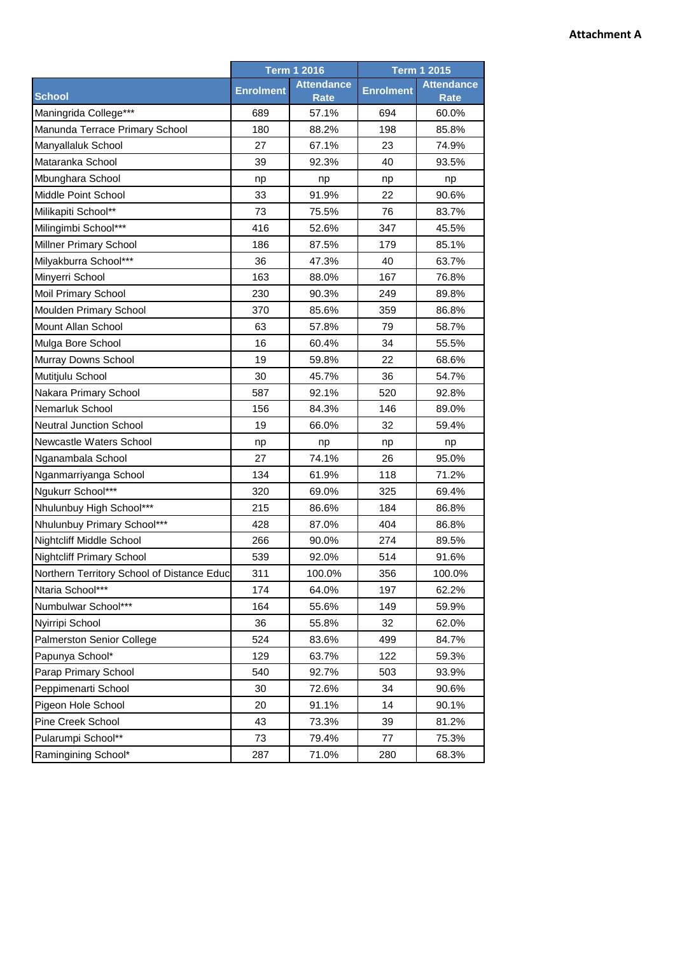|                                            | <b>Term 1 2016</b> |                                  | <b>Term 1 2015</b> |                                  |
|--------------------------------------------|--------------------|----------------------------------|--------------------|----------------------------------|
| <b>School</b>                              | <b>Enrolment</b>   | <b>Attendance</b><br><b>Rate</b> | <b>Enrolment</b>   | <b>Attendance</b><br><b>Rate</b> |
| Maningrida College***                      | 689                | 57.1%                            | 694                | 60.0%                            |
| Manunda Terrace Primary School             | 180                | 88.2%                            | 198                | 85.8%                            |
| Manyallaluk School                         | 27                 | 67.1%                            | 23                 | 74.9%                            |
| Mataranka School                           | 39                 | 92.3%                            | 40                 | 93.5%                            |
| Mbunghara School                           | np                 | np                               | np                 | np                               |
| Middle Point School                        | 33                 | 91.9%                            | 22                 | 90.6%                            |
| Milikapiti School**                        | 73                 | 75.5%                            | 76                 | 83.7%                            |
| Milingimbi School***                       | 416                | 52.6%                            | 347                | 45.5%                            |
| Millner Primary School                     | 186                | 87.5%                            | 179                | 85.1%                            |
| Milyakburra School***                      | 36                 | 47.3%                            | 40                 | 63.7%                            |
| Minyerri School                            | 163                | 88.0%                            | 167                | 76.8%                            |
| Moil Primary School                        | 230                | 90.3%                            | 249                | 89.8%                            |
| Moulden Primary School                     | 370                | 85.6%                            | 359                | 86.8%                            |
| Mount Allan School                         | 63                 | 57.8%                            | 79                 | 58.7%                            |
| Mulga Bore School                          | 16                 | 60.4%                            | 34                 | 55.5%                            |
| Murray Downs School                        | 19                 | 59.8%                            | 22                 | 68.6%                            |
| Mutitjulu School                           | 30                 | 45.7%                            | 36                 | 54.7%                            |
| Nakara Primary School                      | 587                | 92.1%                            | 520                | 92.8%                            |
| Nemarluk School                            | 156                | 84.3%                            | 146                | 89.0%                            |
| <b>Neutral Junction School</b>             | 19                 | 66.0%                            | 32                 | 59.4%                            |
| Newcastle Waters School                    | np                 | np                               | np                 | np                               |
| Nganambala School                          | 27                 | 74.1%                            | 26                 | 95.0%                            |
| Nganmarriyanga School                      | 134                | 61.9%                            | 118                | 71.2%                            |
| Ngukurr School***                          | 320                | 69.0%                            | 325                | 69.4%                            |
| Nhulunbuy High School***                   | 215                | 86.6%                            | 184                | 86.8%                            |
| Nhulunbuy Primary School***                | 428                | 87.0%                            | 404                | 86.8%                            |
| Nightcliff Middle School                   | 266                | 90.0%                            | 274                | 89.5%                            |
| <b>Nightcliff Primary School</b>           | 539                | 92.0%                            | 514                | 91.6%                            |
| Northern Territory School of Distance Educ | 311                | 100.0%                           | 356                | 100.0%                           |
| Ntaria School***                           | 174                | 64.0%                            | 197                | 62.2%                            |
| Numbulwar School***                        | 164                | 55.6%                            | 149                | 59.9%                            |
| Nyirripi School                            | 36                 | 55.8%                            | 32                 | 62.0%                            |
| Palmerston Senior College                  | 524                | 83.6%                            | 499                | 84.7%                            |
| Papunya School*                            | 129                | 63.7%                            | 122                | 59.3%                            |
| Parap Primary School                       | 540                | 92.7%                            | 503                | 93.9%                            |
| Peppimenarti School                        | 30                 | 72.6%                            | 34                 | 90.6%                            |
| Pigeon Hole School                         | 20                 | 91.1%                            | 14                 | 90.1%                            |
| Pine Creek School                          | 43                 | 73.3%                            | 39                 | 81.2%                            |
| Pularumpi School**                         | 73                 | 79.4%                            | 77                 | 75.3%                            |
| Ramingining School*                        | 287                | 71.0%                            | 280                | 68.3%                            |

## **Attachment A**